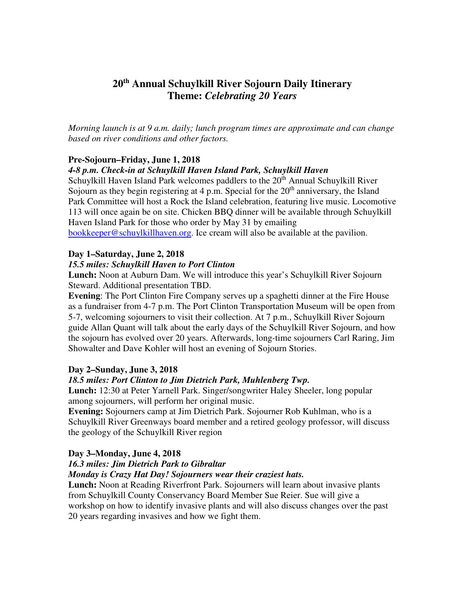# **20th Annual Schuylkill River Sojourn Daily Itinerary Theme:** *Celebrating 20 Years*

*Morning launch is at 9 a.m. daily; lunch program times are approximate and can change based on river conditions and other factors.* 

#### **Pre-Sojourn–Friday, June 1, 2018**

#### *4-8 p.m. Check-in at Schuylkill Haven Island Park, Schuylkill Haven*

Schuylkill Haven Island Park welcomes paddlers to the  $20<sup>th</sup>$  Annual Schuylkill River Sojourn as they begin registering at 4 p.m. Special for the  $20<sup>th</sup>$  anniversary, the Island Park Committee will host a Rock the Island celebration, featuring live music. Locomotive 113 will once again be on site. Chicken BBQ dinner will be available through Schuylkill Haven Island Park for those who order by May 31 by emailing bookkeeper@schuylkillhaven.org. Ice cream will also be available at the pavilion.

# **Day 1–Saturday, June 2, 2018**

#### *15.5 miles: Schuylkill Haven to Port Clinton*

**Lunch:** Noon at Auburn Dam. We will introduce this year's Schuylkill River Sojourn Steward. Additional presentation TBD.

**Evening**: The Port Clinton Fire Company serves up a spaghetti dinner at the Fire House as a fundraiser from 4-7 p.m. The Port Clinton Transportation Museum will be open from 5-7, welcoming sojourners to visit their collection. At 7 p.m., Schuylkill River Sojourn guide Allan Quant will talk about the early days of the Schuylkill River Sojourn, and how the sojourn has evolved over 20 years. Afterwards, long-time sojourners Carl Raring, Jim Showalter and Dave Kohler will host an evening of Sojourn Stories.

#### **Day 2–Sunday, June 3, 2018**

#### *18.5 miles: Port Clinton to Jim Dietrich Park, Muhlenberg Twp.*

**Lunch:** 12:30 at Peter Yarnell Park. Singer/songwriter Haley Sheeler, long popular among sojourners, will perform her original music.

**Evening:** Sojourners camp at Jim Dietrich Park. Sojourner Rob Kuhlman, who is a Schuylkill River Greenways board member and a retired geology professor, will discuss the geology of the Schuylkill River region

## **Day 3–Monday, June 4, 2018**

## *16.3 miles: Jim Dietrich Park to Gibraltar*

#### *Monday is Crazy Hat Day! Sojourners wear their craziest hats.*

**Lunch:** Noon at Reading Riverfront Park. Sojourners will learn about invasive plants from Schuylkill County Conservancy Board Member Sue Reier. Sue will give a workshop on how to identify invasive plants and will also discuss changes over the past 20 years regarding invasives and how we fight them.